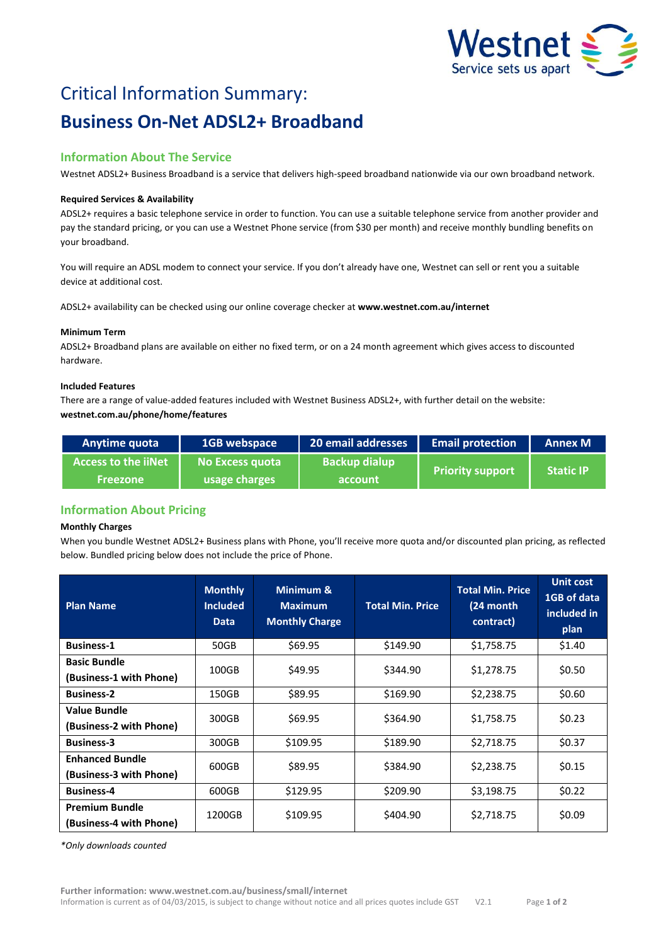

# Critical Information Summary: **Business On-Net ADSL2+ Broadband**

# **Information About The Service**

Westnet ADSL2+ Business Broadband is a service that delivers high-speed broadband nationwide via our own broadband network.

#### **Required Services & Availability**

ADSL2+ requires a basic telephone service in order to function. You can use a suitable telephone service from another provider and pay the standard pricing, or you can use a Westnet Phone service (from \$30 per month) and receive monthly bundling benefits on your broadband.

You will require an ADSL modem to connect your service. If you don't already have one, Westnet can sell or rent you a suitable device at additional cost.

ADSL2+ availability can be checked using our online coverage checker at **www.westnet.com.au/internet**

#### **Minimum Term**

ADSL2+ Broadband plans are available on either no fixed term, or on a 24 month agreement which gives access to discounted hardware.

#### **Included Features**

There are a range of value-added features included with Westnet Business ADSL2+, with further detail on the website: **westnet.com.au/phone/home/features**

| Anytime quota              | 1GB webspace    | 20 email addresses   | <b>Email protection</b> | <b>Annex M</b>   |
|----------------------------|-----------------|----------------------|-------------------------|------------------|
| <b>Access to the iiNet</b> | No Excess quota | <b>Backup dialup</b> | <b>Priority support</b> | <b>Static IP</b> |
| <b>Freezone</b>            | usage charges   | account              |                         |                  |

## **Information About Pricing**

#### **Monthly Charges**

When you bundle Westnet ADSL2+ Business plans with Phone, you'll receive more quota and/or discounted plan pricing, as reflected below. Bundled pricing below does not include the price of Phone.

| <b>Plan Name</b>                                  | <b>Monthly</b><br><b>Included</b><br><b>Data</b> | Minimum &<br><b>Maximum</b><br><b>Monthly Charge</b> | <b>Total Min. Price</b> | <b>Total Min. Price</b><br>(24 month)<br>contract) | <b>Unit cost</b><br>1GB of data<br>included in<br>plan |
|---------------------------------------------------|--------------------------------------------------|------------------------------------------------------|-------------------------|----------------------------------------------------|--------------------------------------------------------|
| <b>Business-1</b>                                 | 50GB                                             | \$69.95                                              | \$149.90                | \$1,758.75                                         | \$1.40                                                 |
| <b>Basic Bundle</b><br>(Business-1 with Phone)    | 100GB                                            | \$49.95                                              | \$344.90                | \$1,278.75                                         | \$0.50                                                 |
| <b>Business-2</b>                                 | 150GB                                            | \$89.95                                              | \$169.90                | \$2,238.75                                         | \$0.60                                                 |
| Value Bundle<br>(Business-2 with Phone)           | 300GB                                            | \$69.95                                              | \$364.90                | \$1,758.75                                         | \$0.23                                                 |
| <b>Business-3</b>                                 | 300GB                                            | \$109.95                                             | \$189.90                | \$2,718.75                                         | \$0.37                                                 |
| <b>Enhanced Bundle</b><br>(Business-3 with Phone) | 600GB                                            | \$89.95                                              | \$384.90                | \$2,238.75                                         | \$0.15                                                 |
| <b>Business-4</b>                                 | 600GB                                            | \$129.95                                             | \$209.90                | \$3,198.75                                         | \$0.22                                                 |
| <b>Premium Bundle</b><br>(Business-4 with Phone)  | 1200GB                                           | \$109.95                                             | \$404.90                | \$2,718.75                                         | \$0.09                                                 |

*\*Only downloads counted*